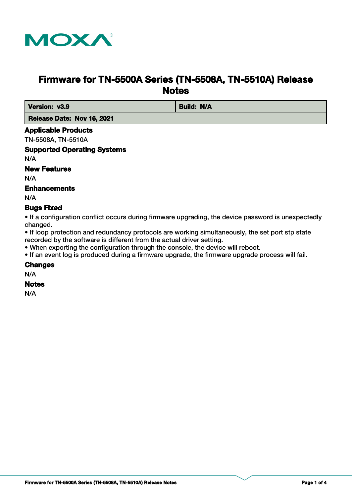

# **Firmware for TN-5500A Series (TN-5508A, TN-5510A) Release Notes**

**Version: v3.9 Build: N/A** 

 **Release Date: Nov 16, 2021**

## **Applicable Products**

TN-5508A, TN-5510A

#### **Supported Operating Systems**

N/A

## **New Features**

N/A

### **Enhancements**

N/A

#### **Bugs Fixed**

• If a configuration conflict occurs during firmware upgrading, the device password is unexpectedly changed.

• If loop protection and redundancy protocols are working simultaneously, the set port stp state recorded by the software is different from the actual driver setting.

• When exporting the configuration through the console, the device will reboot.

• If an event log is produced during a firmware upgrade, the firmware upgrade process will fail.

### **Changes**

N/A

**Notes**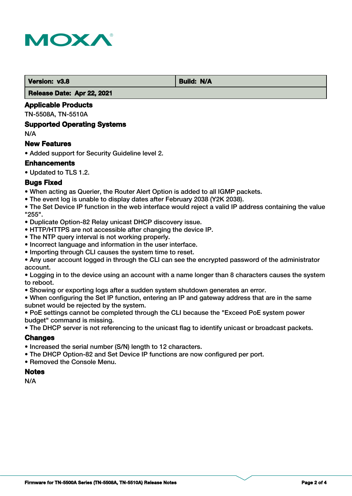

**Version: v3.8 Build: N/A** 

 **Release Date: Apr 22, 2021**

#### **Applicable Products**

TN-5508A, TN-5510A

#### **Supported Operating Systems**

N/A

#### **New Features**

• Added support for Security Guideline level 2.

#### **Enhancements**

• Updated to TLS 1.2.

#### **Bugs Fixed**

• When acting as Querier, the Router Alert Option is added to all IGMP packets.

• The event log is unable to display dates after February 2038 (Y2K 2038).

• The Set Device IP function in the web interface would reject a valid IP address containing the value "255".

- Duplicate Option-82 Relay unicast DHCP discovery issue.
- HTTP/HTTPS are not accessible after changing the device IP.
- The NTP query interval is not working properly.
- Incorrect language and information in the user interface.
- Importing through CLI causes the system time to reset.
- Any user account logged in through the CLI can see the encrypted password of the administrator account.

• Logging in to the device using an account with a name longer than 8 characters causes the system to reboot.

• Showing or exporting logs after a sudden system shutdown generates an error.

• When configuring the Set IP function, entering an IP and gateway address that are in the same subnet would be rejected by the system.

• PoE settings cannot be completed through the CLI because the "Exceed PoE system power budget" command is missing.

• The DHCP server is not referencing to the unicast flag to identify unicast or broadcast packets.

## **Changes**

- Increased the serial number (S/N) length to 12 characters.
- The DHCP Option-82 and Set Device IP functions are now configured per port.
- Removed the Console Menu.

#### **Notes**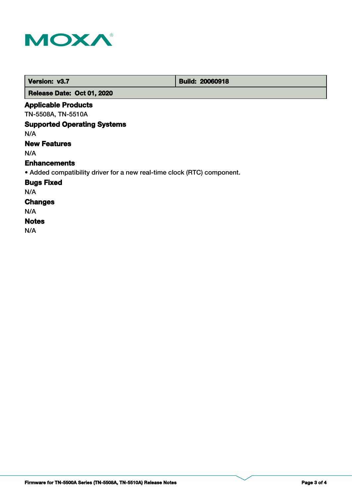

| Version: v3.7        | <b>Build: 20060918</b> |
|----------------------|------------------------|
| .<br>---------<br>__ |                        |

 **Release Date: Oct 01, 2020**

## **Applicable Products**

TN-5508A, TN-5510A

## **Supported Operating Systems**

N/A

## **New Features**

N/A

#### **Enhancements**

• Added compatibility driver for a new real-time clock (RTC) component.

**Bugs Fixed**

N/A

## **Changes**

N/A

## **Notes**